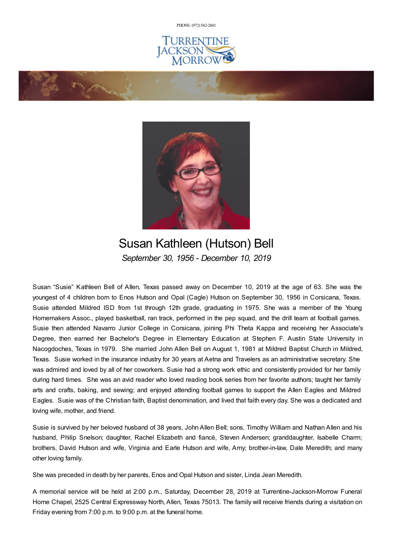PHONE: (972) [562-2601](tel:(972) 562-2601)







## Susan Kathleen (Hutson) Bell *September 30, 1956 - December 10, 2019*

Susan "Susie" Kathleen Bell of Allen, Texas passed away on December 10, 2019 at the age of 63. She was the youngest of 4 children born to Enos Hutson and Opal (Cagle) Hutson on September 30, 1956 in Corsicana, Texas. Susie attended Mildred ISD from 1st through 12th grade, graduating in 1975. She was a member of the Young Homemakers Assoc., played basketball, ran track, performed in the pep squad, and the drill team at football games. Susie then attended Navarro Junior College in Corsicana, joining Phi Theta Kappa and receiving her Associate's Degree, then earned her Bachelor's Degree in Elementary Education at Stephen F. Austin State University in Nacogdoches, Texas in 1979. She married John Allen Bell on August 1, 1981 at Mildred Baptist Church in Mildred, Texas. Susie worked in the insurance industry for 30 years at Aetna and Travelers as an administrative secretary. She was admired and loved by all of her coworkers. Susie had a strong work ethic and consistently provided for her family during hard times. She was an avid reader who loved reading book series from her favorite authors; taught her family arts and crafts, baking, and sewing; and enjoyed attending football games to support the Allen Eagles and Mildred Eagles. Susie was of the Christian faith, Baptist denomination, and lived that faith every day. She was a dedicated and loving wife, mother, and friend.

Susie is survived by her beloved husband of 38 years, John Allen Bell; sons, Timothy William and Nathan Allen and his husband, Philip Snelson; daughter, Rachel Elizabeth and fiancé, Steven Andersen; granddaughter, Isabelle Charm; brothers, David Hutson and wife, Virginia and Earle Hutson and wife, Amy; brother-in-law, Dale Meredith; and many other loving family.

She was preceded in death by her parents, Enos and Opal Hutson and sister, Linda Jean Meredith.

A memorial service will be held at 2:00 p.m., Saturday, December 28, 2019 at Turrentine-Jackson-Morrow Funeral Home Chapel, 2525 Central Expressway North, Allen, Texas 75013. The family will receive friends during a visitation on Friday evening from 7:00 p.m. to 9:00 p.m. at the funeral home.